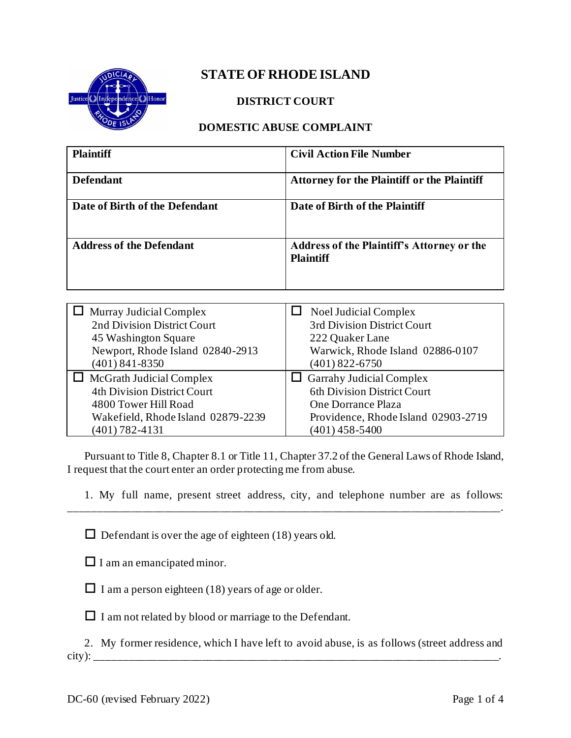

## **STATE OF RHODE ISLAND**

### **DISTRICT COURT**

### **DOMESTIC ABUSE COMPLAINT**

| <b>Plaintiff</b>                 | <b>Civil Action File Number</b>                                       |
|----------------------------------|-----------------------------------------------------------------------|
| <b>Defendant</b>                 | <b>Attorney for the Plaintiff or the Plaintiff</b>                    |
| Date of Birth of the Defendant   | Date of Birth of the Plaintiff                                        |
| <b>Address of the Defendant</b>  | <b>Address of the Plaintiff's Attorney or the</b><br><b>Plaintiff</b> |
|                                  |                                                                       |
| Murray Judicial Complex          | Noel Judicial Complex                                                 |
| 2nd Division District Court      | 3rd Division District Court                                           |
| 45 Washington Square             | 222 Quaker Lane                                                       |
| Newport, Rhode Island 02840-2913 | Warwick, Rhode Island 02886-0107                                      |
| $(401) 841 - 8350$               | $(401)$ 822-6750                                                      |
| McGrath Judicial Complex         | <b>Garrahy Judicial Complex</b>                                       |

| 4th Division District Court        | 6th Division District Court         |
|------------------------------------|-------------------------------------|
| 4800 Tower Hill Road               | One Dorrance Plaza                  |
| Wakefield, Rhode Island 02879-2239 | Providence, Rhode Island 02903-2719 |
| $(401) 782 - 4131$                 | $(401)$ 458-5400                    |
|                                    |                                     |

Pursuant to Title 8, Chapter 8.1 or Title 11, Chapter 37.2 of the General Laws of Rhode Island, I request that the court enter an order protecting me from abuse.

 $\_$  ,  $\_$  ,  $\_$  ,  $\_$  ,  $\_$  ,  $\_$  ,  $\_$  ,  $\_$  ,  $\_$  ,  $\_$  ,  $\_$ 

1. My full name, present street address, city, and telephone number are as follows:

 $\Box$  Defendant is over the age of eighteen (18) years old.

 $\Box$  I am an emancipated minor.

 $\Box$  I am a person eighteen (18) years of age or older.

 $\Box$  I am not related by blood or marriage to the Defendant.

2. My former residence, which I have left to avoid abuse, is as follows (street address and city): \_\_\_\_\_\_\_\_\_\_\_\_\_\_\_\_\_\_\_\_\_\_\_\_\_\_\_\_\_\_\_\_\_\_\_\_\_\_\_\_\_\_\_\_\_\_\_\_\_\_\_\_\_\_\_\_\_\_\_\_\_\_\_\_\_\_\_\_\_\_\_\_.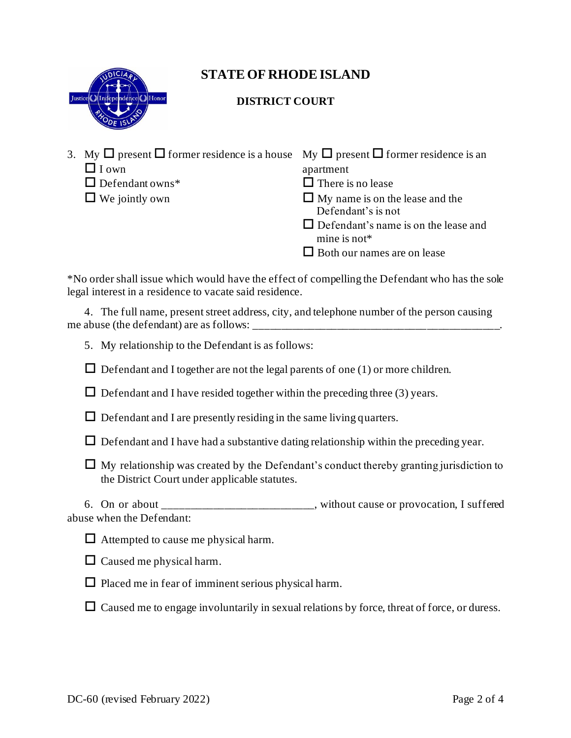

# **STATE OF RHODE ISLAND**

## **DISTRICT COURT**

- 3. My  $\Box$  present  $\Box$  former residence is a house My  $\Box$  present  $\Box$  former residence is an  $\Box$  I own apartment
	-
	- $\Box$  Defendant owns<sup>\*</sup>  $\Box$  There is no lease
	-

- 
- $\Box$  We jointly own  $\Box$  My name is on the lease and the
	- Defendant's is not
	- $\Box$  Defendant's name is on the lease and mine is not\*
	- $\Box$  Both our names are on lease

\*No order shall issue which would have the effect of compelling the Defendant who has the sole legal interest in a residence to vacate said residence.

4. The full name, present street address, city, and telephone number of the person causing me abuse (the defendant) are as follows:

5. My relationship to the Defendant is as follows:

 $\Box$  Defendant and I together are not the legal parents of one (1) or more children.

 $\Box$  Defendant and I have resided together within the preceding three (3) years.

- $\Box$  Defendant and I are presently residing in the same living quarters.
- $\Box$  Defendant and I have had a substantive dating relationship within the preceding year.
- $\Box$  My relationship was created by the Defendant's conduct thereby granting jurisdiction to the District Court under applicable statutes.

6. On or about the same state of the set of the set of provocation, I suffered abuse when the Defendant:

 $\Box$  Attempted to cause me physical harm.



- $\Box$  Placed me in fear of imminent serious physical harm.
- $\Box$  Caused me to engage involuntarily in sexual relations by force, threat of force, or duress.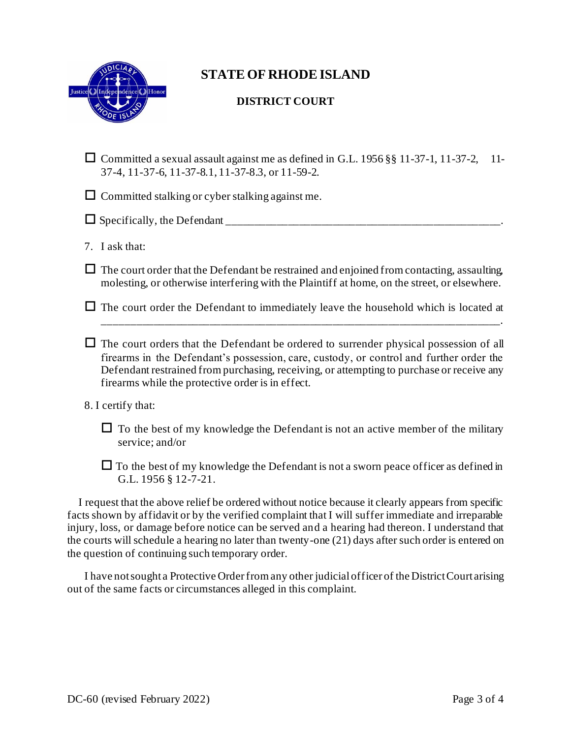

## **STATE OF RHODE ISLAND**

### **DISTRICT COURT**

 $\Box$  Committed a sexual assault against me as defined in G.L. 1956 §§ 11-37-1, 11-37-2, 11-37-4, 11-37-6, 11-37-8.1, 11-37-8.3, or 11-59-2.

 $\Box$  Committed stalking or cyber stalking against me.

 $\Box$  Specifically, the Defendant

7. I ask that:

 $\Box$  The court order that the Defendant be restrained and enjoined from contacting, assaulting, molesting, or otherwise interfering with the Plaintiff at home, on the street, or elsewhere.

 $\Box$  The court order the Defendant to immediately leave the household which is located at \_\_\_\_\_\_\_\_\_\_\_\_\_\_\_\_\_\_\_\_\_\_\_\_\_\_\_\_\_\_\_\_\_\_\_\_\_\_\_\_\_\_\_\_\_\_\_\_\_\_\_\_\_\_\_\_\_\_\_\_\_\_\_\_\_\_\_\_\_\_\_.

 $\Box$  The court orders that the Defendant be ordered to surrender physical possession of all firearms in the Defendant's possession, care, custody, or control and further order the Defendant restrained from purchasing, receiving, or attempting to purchase or receive any firearms while the protective order is in effect.

#### 8. I certify that:

 $\Box$  To the best of my knowledge the Defendant is not an active member of the military service; and/or

 $\Box$  To the best of my knowledge the Defendant is not a sworn peace officer as defined in G.L. 1956 § 12-7-21.

 I request that the above relief be ordered without notice because it clearly appears from specific facts shown by affidavit or by the verified complaint that I will suffer immediate and irreparable injury, loss, or damage before notice can be served and a hearing had thereon. I understand that the courts will schedule a hearing no later than twenty-one (21) days after such order is entered on the question of continuing such temporary order.

I have not sought a Protective Order from any other judicial officer of the District Court arising out of the same facts or circumstances alleged in this complaint.